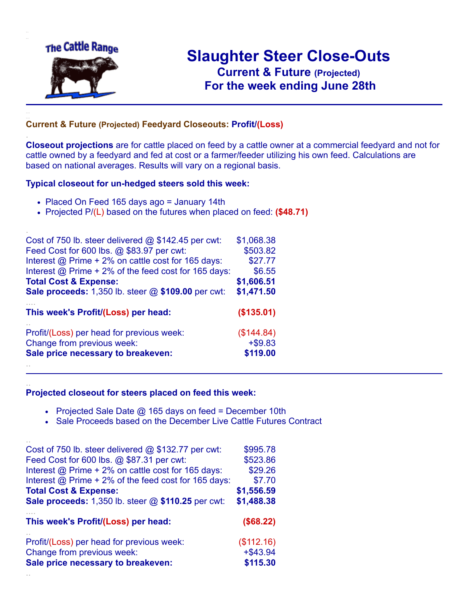

.

..

# **Slaughter Steer Close-Outs Current & Future (Projected)** .**For the week ending June 28th**

#### **Current & Future (Projected) Feedyard Closeouts: Profit/(Loss)**

**Closeout projections** are for cattle placed on feed by a cattle owner at a commercial feedyard and not for cattle owned by a feedyard and fed at cost or a farmer/feeder utilizing his own feed. Calculations are based on national averages. Results will vary on a regional basis.

#### **Typical closeout for un-hedged steers sold this week:**

- Placed On Feed 165 days ago = January 14th
- Projected P/(L) based on the futures when placed on feed: **(\$48.71)**

| Cost of 750 lb. steer delivered $@$ \$142.45 per cwt:       | \$1,068.38 |
|-------------------------------------------------------------|------------|
| Feed Cost for 600 lbs. @ \$83.97 per cwt:                   | \$503.82   |
| Interest @ Prime + 2% on cattle cost for 165 days:          | \$27.77    |
| Interest $\omega$ Prime + 2% of the feed cost for 165 days: | \$6.55     |
| <b>Total Cost &amp; Expense:</b>                            | \$1,606.51 |
| <b>Sale proceeds:</b> 1,350 lb. steer @ \$109.00 per cwt:   | \$1,471.50 |
| This week's Profit/(Loss) per head:                         | (\$135.01) |
| Profit/(Loss) per head for previous week:                   | (\$144.84) |
| Change from previous week:                                  | $+ $9.83$  |
| Sale price necessary to breakeven:                          | \$119.00   |
|                                                             |            |

#### **Projected closeout for steers placed on feed this week:**

- Projected Sale Date  $@$  165 days on feed = December 10th
- Sale Proceeds based on the December Live Cattle Futures Contract

| Cost of 750 lb. steer delivered $@$ \$132.77 per cwt:  | \$995.78    |
|--------------------------------------------------------|-------------|
| Feed Cost for 600 lbs. @ \$87.31 per cwt:              | \$523.86    |
| Interest @ Prime + 2% on cattle cost for 165 days:     | \$29.26     |
| Interest $@$ Prime + 2% of the feed cost for 165 days: | \$7.70      |
| <b>Total Cost &amp; Expense:</b>                       | \$1,556.59  |
| Sale proceeds: 1,350 lb. steer @ \$110.25 per cwt:     | \$1,488.38  |
|                                                        |             |
| This week's Profit/(Loss) per head:                    | (\$68.22)   |
| Profit/(Loss) per head for previous week:              | (\$112.16)  |
| Change from previous week:                             | $+$ \$43.94 |
| Sale price necessary to breakeven:                     | \$115.30    |